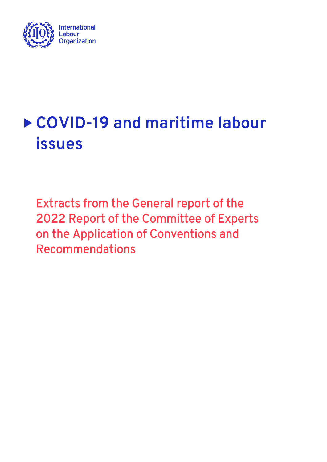

## **COVID-19 and maritime labour issues**

Extracts from the General report of the 2022 Report of the Committee of Experts on the Application of Conventions and Recommendations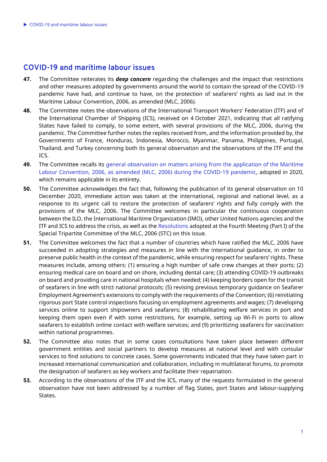## **COVID-19 and maritime labour issues**

- **47.** The Committee reiterates its *deep concern* regarding the challenges and the impact that restrictions and other measures adopted by governments around the world to contain the spread of the COVID-19 pandemic have had, and continue to have, on the protection of seafarers' rights as laid out in the Maritime Labour Convention, 2006, as amended (MLC, 2006).
- **48.** The Committee notes the observations of the International Transport Workers' Federation (ITF) and of the International Chamber of Shipping (ICS), received on 4 October 2021, indicating that all ratifying States have failed to comply, to some extent, with several provisions of the MLC, 2006, during the pandemic. The Committee further notes the replies received from, and the information provided by, the Governments of France, Honduras, Indonesia, Morocco, Myanmar, Panama, Philippines, Portugal, Thailand, and Turkey concerning both its general observation and the observations of the ITF and the ICS.
- **49.** The Committee recalls its [general observation on matters arising from the application of the Maritime](https://www.ilo.org/wcmsp5/groups/public/---ed_norm/---normes/documents/publication/wcms_764384.pdf)  [Labour Convention, 2006, as amended \(MLC, 2006\) during the COVID-19 pandemic,](https://www.ilo.org/wcmsp5/groups/public/---ed_norm/---normes/documents/publication/wcms_764384.pdf) adopted in 2020, which remains applicable in its entirety.
- **50.** The Committee acknowledges the fact that, following the publication of its general observation on 10 December 2020, immediate action was taken at the international, regional and national level, as a response to its urgent call to restore the protection of seafarers' rights and fully comply with the provisions of the MLC, 2006. The Committee welcomes in particular the continuous cooperation between the ILO, the International Maritime Organization (IMO), other United Nations agencies and the ITF and ICS to address the crisis, as well as the [Resolutions](https://www.ilo.org/global/standards/maritime-labour-convention/events/WCMS_679152/lang--en/index.htm) adopted at the Fourth Meeting (Part I) of the Special Tripartite Committee of the MLC, 2006 (STC) on this issue.
- **51.** The Committee welcomes the fact that a number of countries which have ratified the MLC, 2006 have succeeded in adopting strategies and measures in line with the international guidance, in order to preserve public health in the context of the pandemic, while ensuring respect for seafarers' rights. These measures include, among others: (1) ensuring a high number of safe crew changes at their ports; (2) ensuring medical care on board and on shore, including dental care; (3) attending COVID-19 outbreaks on board and providing care in national hospitals when needed; (4) keeping borders open for the transit of seafarers in line with strict national protocols; (5) revising previous temporary guidance on Seafarer Employment Agreement's extensions to comply with the requirements of the Convention; (6) reinitiating rigorous port State control inspections focusing on employment agreements and wages; (7) developing services online to support shipowners and seafarers; (8) rehabilitating welfare services in port and keeping them open even if with some restrictions, for example, setting up Wi-Fi in ports to allow seafarers to establish online contact with welfare services; and (9) prioritizing seafarers for vaccination within national programmes.
- **52.** The Committee also notes that in some cases consultations have taken place between different government entities and social partners to develop measures at national level and with consular services to find solutions to concrete cases. Some governments indicated that they have taken part in increased international communication and collaboration, including in multilateral forums, to promote the designation of seafarers as key workers and facilitate their repatriation.
- **53.** According to the observations of the ITF and the ICS, many of the requests formulated in the general observation have not been addressed by a number of flag States, port States and labour-supplying States.